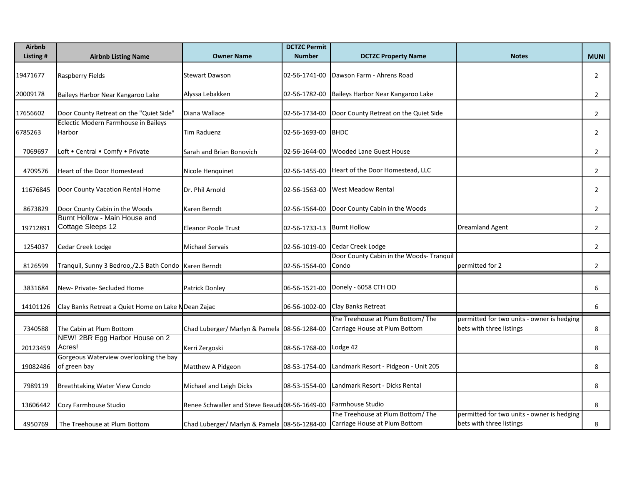| <b>Airbnb</b> |                                                         |                                                                            | <b>DCTZC Permit</b>        |                                                                    |                                                                        |                |
|---------------|---------------------------------------------------------|----------------------------------------------------------------------------|----------------------------|--------------------------------------------------------------------|------------------------------------------------------------------------|----------------|
| Listing #     | <b>Airbnb Listing Name</b>                              | <b>Owner Name</b>                                                          | <b>Number</b>              | <b>DCTZC Property Name</b>                                         | <b>Notes</b>                                                           | <b>MUNI</b>    |
| 19471677      | Raspberry Fields                                        | <b>Stewart Dawson</b>                                                      | 02-56-1741-00              | Dawson Farm - Ahrens Road                                          |                                                                        | $\overline{2}$ |
| 20009178      | Baileys Harbor Near Kangaroo Lake                       | Alyssa Lebakken                                                            | 02-56-1782-00              | Baileys Harbor Near Kangaroo Lake                                  |                                                                        | $\overline{2}$ |
| 17656602      | Door County Retreat on the "Quiet Side"                 | Diana Wallace                                                              | 02-56-1734-00              | Door County Retreat on the Quiet Side                              |                                                                        | $\overline{2}$ |
| 6785263       | Eclectic Modern Farmhouse in Baileys<br>Harbor          | Tim Raduenz                                                                | 02-56-1693-00              | <b>BHDC</b>                                                        |                                                                        | $\overline{2}$ |
| 7069697       | Loft . Central . Comfy . Private                        | Sarah and Brian Bonovich                                                   | 02-56-1644-00              | <b>Wooded Lane Guest House</b>                                     |                                                                        | $\overline{2}$ |
| 4709576       | Heart of the Door Homestead                             | Nicole Henquinet                                                           | 02-56-1455-00              | Heart of the Door Homestead, LLC                                   |                                                                        | $\overline{2}$ |
| 11676845      | Door County Vacation Rental Home                        | Dr. Phil Arnold                                                            | 02-56-1563-00              | <b>West Meadow Rental</b>                                          |                                                                        | $\overline{2}$ |
| 8673829       | Door County Cabin in the Woods                          | Karen Berndt                                                               | 02-56-1564-00              | Door County Cabin in the Woods                                     |                                                                        | $\overline{2}$ |
| 19712891      | Burnt Hollow - Main House and<br>Cottage Sleeps 12      | <b>Eleanor Poole Trust</b>                                                 | 02-56-1733-13 Burnt Hollow |                                                                    | <b>Dreamland Agent</b>                                                 | $\overline{2}$ |
| 1254037       | Cedar Creek Lodge                                       | Michael Servais                                                            | 02-56-1019-00              | Cedar Creek Lodge                                                  |                                                                        | $\overline{2}$ |
| 8126599       | Tranquil, Sunny 3 Bedroo,/2.5 Bath Condo   Karen Berndt |                                                                            | 02-56-1564-00              | Door County Cabin in the Woods- Tranquil<br>Condo                  | permitted for 2                                                        | $\overline{2}$ |
| 3831684       | New- Private- Secluded Home                             | Patrick Donley                                                             |                            | 06-56-1521-00 Donely - 6058 CTH OO                                 |                                                                        | 6              |
| 14101126      | Clay Banks Retreat a Quiet Home on Lake N Dean Zajac    |                                                                            |                            | 06-56-1002-00 Clay Banks Retreat                                   |                                                                        | 6              |
| 7340588       | The Cabin at Plum Bottom                                | Chad Luberger/ Marlyn & Pamela 08-56-1284-00                               |                            | The Treehouse at Plum Bottom/ The<br>Carriage House at Plum Bottom | permitted for two units - owner is hedging<br>bets with three listings | 8              |
| 20123459      | NEW! 2BR Egg Harbor House on 2<br>Acres!                | Kerri Zergoski                                                             | 08-56-1768-00 Lodge 42     |                                                                    |                                                                        | 8              |
| 19082486      | Gorgeous Waterview overlooking the bay<br>of green bay  | Matthew A Pidgeon                                                          | 08-53-1754-00              | Landmark Resort - Pidgeon - Unit 205                               |                                                                        | 8              |
| 7989119       | Breathtaking Water View Condo                           | Michael and Leigh Dicks                                                    | 08-53-1554-00              | Landmark Resort - Dicks Rental                                     |                                                                        | 8              |
| 13606442      | Cozy Farmhouse Studio                                   | Renee Schwaller and Steve Beaud 08-56-1649-00                              |                            | <b>Farmhouse Studio</b>                                            |                                                                        | 8              |
| 4950769       | The Treehouse at Plum Bottom                            | Chad Luberger/ Marlyn & Pamela 08-56-1284-00 Carriage House at Plum Bottom |                            | The Treehouse at Plum Bottom/The                                   | permitted for two units - owner is hedging<br>bets with three listings | 8              |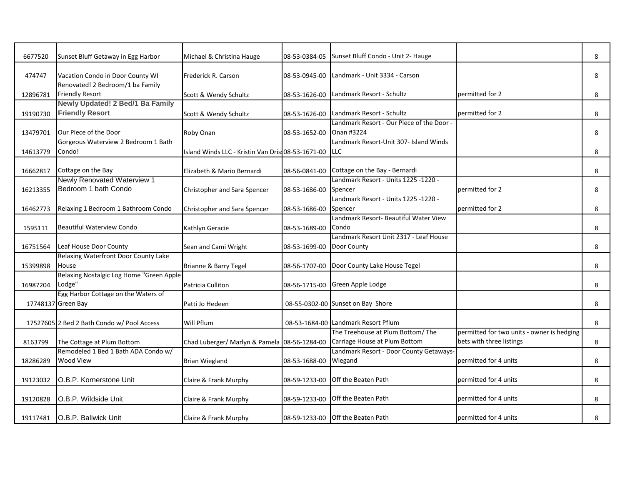| 6677520  | Sunset Bluff Getaway in Egg Harbor         | Michael & Christina Hauge                          | 08-53-0384-05 | Sunset Bluff Condo - Unit 2- Hauge        |                                            | 8 |
|----------|--------------------------------------------|----------------------------------------------------|---------------|-------------------------------------------|--------------------------------------------|---|
| 474747   | Vacation Condo in Door County WI           | Frederick R. Carson                                | 08-53-0945-00 | Landmark - Unit 3334 - Carson             |                                            | 8 |
|          | Renovated! 2 Bedroom/1 ba Family           |                                                    |               |                                           |                                            |   |
| 12896781 | <b>Friendly Resort</b>                     | Scott & Wendy Schultz                              | 08-53-1626-00 | Landmark Resort - Schultz                 | permitted for 2                            | 8 |
|          | Newly Updated! 2 Bed/1 Ba Family           |                                                    |               |                                           |                                            |   |
| 19190730 | <b>Friendly Resort</b>                     | Scott & Wendy Schultz                              | 08-53-1626-00 | Landmark Resort - Schultz                 | permitted for 2                            | 8 |
|          |                                            |                                                    |               | Landmark Resort - Our Piece of the Door - |                                            |   |
| 13479701 | Our Piece of the Door                      | Roby Onan                                          | 08-53-1652-00 | Onan #3224                                |                                            | 8 |
|          | Gorgeous Waterview 2 Bedroom 1 Bath        |                                                    |               | Landmark Resort-Unit 307- Island Winds    |                                            |   |
| 14613779 | Condo!                                     | Island Winds LLC - Kristin Van Dris: 08-53-1671-00 |               | <b>ILLC</b>                               |                                            | 8 |
|          |                                            |                                                    |               |                                           |                                            |   |
| 16662817 | Cottage on the Bay                         | Elizabeth & Mario Bernardi                         | 08-56-0841-00 | Cottage on the Bay - Bernardi             |                                            | 8 |
|          | Newly Renovated Waterview 1                |                                                    |               | Landmark Resort - Units 1225 -1220 -      |                                            |   |
| 16213355 | Bedroom 1 bath Condo                       | Christopher and Sara Spencer                       | 08-53-1686-00 | Spencer                                   | permitted for 2                            | 8 |
|          |                                            |                                                    |               | Landmark Resort - Units 1225 -1220 -      |                                            |   |
| 16462773 | Relaxing 1 Bedroom 1 Bathroom Condo        | Christopher and Sara Spencer                       | 08-53-1686-00 | Spencer                                   | permitted for 2                            | 8 |
|          |                                            |                                                    |               | Landmark Resort- Beautiful Water View     |                                            |   |
| 1595111  | <b>Beautiful Waterview Condo</b>           | Kathlyn Geracie                                    | 08-53-1689-00 | Condo                                     |                                            | 8 |
|          |                                            |                                                    |               | Landmark Resort Unit 2317 - Leaf House    |                                            |   |
| 16751564 | Leaf House Door County                     | Sean and Cami Wright                               | 08-53-1699-00 | Door County                               |                                            | 8 |
|          | Relaxing Waterfront Door County Lake       |                                                    |               |                                           |                                            |   |
| 15399898 | House                                      | Brianne & Barry Tegel                              | 08-56-1707-00 | Door County Lake House Tegel              |                                            | 8 |
|          | Relaxing Nostalgic Log Home "Green Apple   |                                                    |               |                                           |                                            |   |
| 16987204 | Lodge"                                     | Patricia Culliton                                  | 08-56-1715-00 | Green Apple Lodge                         |                                            | 8 |
|          | Egg Harbor Cottage on the Waters of        |                                                    |               |                                           |                                            |   |
|          |                                            |                                                    |               | 08-55-0302-00 Sunset on Bay Shore         |                                            |   |
|          | 17748137 Green Bay                         | Patti Jo Hedeen                                    |               |                                           |                                            | 8 |
|          | 17527605 2 Bed 2 Bath Condo w/ Pool Access | Will Pflum                                         |               | 08-53-1684-00 Landmark Resort Pflum       |                                            | 8 |
|          |                                            |                                                    |               | The Treehouse at Plum Bottom/The          | permitted for two units - owner is hedging |   |
|          |                                            |                                                    |               |                                           |                                            |   |
| 8163799  | The Cottage at Plum Bottom                 | Chad Luberger/ Marlyn & Pamela 08-56-1284-00       |               | Carriage House at Plum Bottom             | bets with three listings                   | 8 |
|          | Remodeled 1 Bed 1 Bath ADA Condo w/        |                                                    |               | Landmark Resort - Door County Getaways-   |                                            |   |
| 18286289 | <b>Wood View</b>                           | <b>Brian Wiegland</b>                              | 08-53-1688-00 | Wiegand                                   | permitted for 4 units                      | 8 |
|          |                                            |                                                    |               |                                           |                                            |   |
| 19123032 | O.B.P. Kornerstone Unit                    | Claire & Frank Murphy                              | 08-59-1233-00 | Off the Beaten Path                       | permitted for 4 units                      | 8 |
|          |                                            |                                                    |               |                                           |                                            |   |
| 19120828 | O.B.P. Wildside Unit                       | Claire & Frank Murphy                              | 08-59-1233-00 | Off the Beaten Path                       | permitted for 4 units                      | 8 |
|          |                                            |                                                    |               |                                           |                                            |   |
| 19117481 | O.B.P. Baliwick Unit                       | Claire & Frank Murphy                              |               | 08-59-1233-00 Off the Beaten Path         | permitted for 4 units                      | 8 |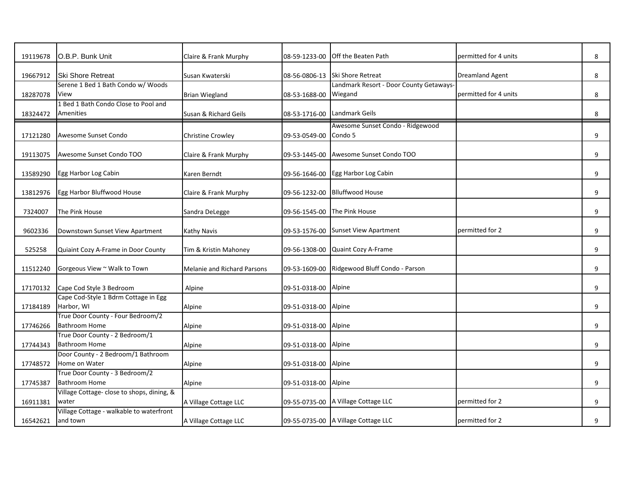| 19119678 | O.B.P. Bunk Unit                                          | Claire & Frank Murphy              | 08-59-1233-00 | Off the Beaten Path                     | permitted for 4 units  | 8 |
|----------|-----------------------------------------------------------|------------------------------------|---------------|-----------------------------------------|------------------------|---|
|          |                                                           |                                    |               |                                         |                        |   |
| 19667912 | <b>Ski Shore Retreat</b>                                  | Susan Kwaterski                    | 08-56-0806-13 | <b>Ski Shore Retreat</b>                | <b>Dreamland Agent</b> | 8 |
|          | Serene 1 Bed 1 Bath Condo w/ Woods                        |                                    |               | Landmark Resort - Door County Getaways- |                        |   |
| 18287078 | View                                                      | <b>Brian Wiegland</b>              | 08-53-1688-00 | Wiegand                                 | permitted for 4 units  | 8 |
|          | 1 Bed 1 Bath Condo Close to Pool and                      |                                    |               |                                         |                        |   |
| 18324472 | Amenities                                                 | Susan & Richard Geils              | 08-53-1716-00 | Landmark Geils                          |                        | 8 |
|          |                                                           |                                    |               | Awesome Sunset Condo - Ridgewood        |                        |   |
| 17121280 | Awesome Sunset Condo                                      | <b>Christine Crowley</b>           | 09-53-0549-00 | Condo 5                                 |                        | 9 |
|          |                                                           |                                    |               |                                         |                        |   |
| 19113075 | Awesome Sunset Condo TOO                                  | Claire & Frank Murphy              | 09-53-1445-00 | Awesome Sunset Condo TOO                |                        | 9 |
|          |                                                           |                                    |               |                                         |                        |   |
| 13589290 | Egg Harbor Log Cabin                                      | Karen Berndt                       | 09-56-1646-00 | Egg Harbor Log Cabin                    |                        | 9 |
|          | Egg Harbor Bluffwood House                                |                                    | 09-56-1232-00 | <b>Blluffwood House</b>                 |                        | 9 |
| 13812976 |                                                           | Claire & Frank Murphy              |               |                                         |                        |   |
| 7324007  | The Pink House                                            | Sandra DeLegge                     | 09-56-1545-00 | The Pink House                          |                        | 9 |
|          |                                                           |                                    |               |                                         |                        |   |
| 9602336  | Downstown Sunset View Apartment                           | <b>Kathy Navis</b>                 | 09-53-1576-00 | <b>Sunset View Apartment</b>            | permitted for 2        | 9 |
|          |                                                           |                                    |               |                                         |                        |   |
| 525258   | Quiaint Cozy A-Frame in Door County                       | Tim & Kristin Mahoney              | 09-56-1308-00 | Quaint Cozy A-Frame                     |                        | 9 |
|          |                                                           |                                    |               |                                         |                        |   |
| 11512240 | Gorgeous View ~ Walk to Town                              | <b>Melanie and Richard Parsons</b> | 09-53-1609-00 | Ridgewood Bluff Condo - Parson          |                        | 9 |
|          |                                                           |                                    |               |                                         |                        |   |
| 17170132 | Cape Cod Style 3 Bedroom                                  | Alpine                             | 09-51-0318-00 | Alpine                                  |                        | 9 |
|          | Cape Cod-Style 1 Bdrm Cottage in Egg                      |                                    |               |                                         |                        |   |
| 17184189 | Harbor, WI                                                | Alpine                             | 09-51-0318-00 | Alpine                                  |                        | 9 |
|          | True Door County - Four Bedroom/2<br><b>Bathroom Home</b> |                                    |               |                                         |                        |   |
| 17746266 | True Door County - 2 Bedroom/1                            | Alpine                             | 09-51-0318-00 | Alpine                                  |                        | 9 |
| 17744343 | <b>Bathroom Home</b>                                      | Alpine                             | 09-51-0318-00 | Alpine                                  |                        | 9 |
|          | Door County - 2 Bedroom/1 Bathroom                        |                                    |               |                                         |                        |   |
| 17748572 | Home on Water                                             | Alpine                             | 09-51-0318-00 | Alpine                                  |                        | 9 |
|          | True Door County - 3 Bedroom/2                            |                                    |               |                                         |                        |   |
| 17745387 | <b>Bathroom Home</b>                                      | Alpine                             | 09-51-0318-00 | Alpine                                  |                        | 9 |
|          | Village Cottage- close to shops, dining, &                |                                    |               |                                         |                        |   |
| 16911381 | water                                                     | A Village Cottage LLC              | 09-55-0735-00 | A Village Cottage LLC                   | permitted for 2        | 9 |
|          | Village Cottage - walkable to waterfront                  |                                    |               |                                         |                        |   |
| 16542621 | and town                                                  | A Village Cottage LLC              |               | 09-55-0735-00 A Village Cottage LLC     | permitted for 2        | 9 |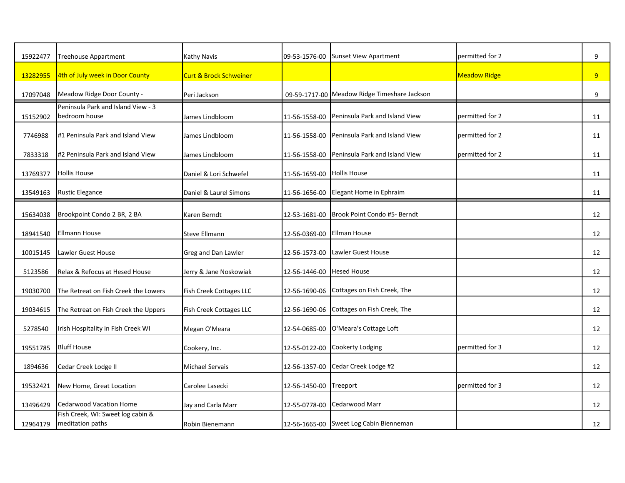| 15922477 | <b>Treehouse Appartment</b>                           | Kathy Navis                       | 09-53-1576-00 | <b>Sunset View Apartment</b>                 | permitted for 2     | 9              |
|----------|-------------------------------------------------------|-----------------------------------|---------------|----------------------------------------------|---------------------|----------------|
| 13282955 | 4th of July week in Door County                       | <b>Curt &amp; Brock Schweiner</b> |               |                                              | <b>Meadow Ridge</b> | 9 <sup>°</sup> |
| 17097048 | Meadow Ridge Door County -                            | Peri Jackson                      |               | 09-59-1717-00 Meadow Ridge Timeshare Jackson |                     | 9              |
| 15152902 | Peninsula Park and Island View - 3<br>bedroom house   | James Lindbloom                   | 11-56-1558-00 | Peninsula Park and Island View               | permitted for 2     | 11             |
| 7746988  | #1 Peninsula Park and Island View                     | James Lindbloom                   | 11-56-1558-00 | Peninsula Park and Island View               | permitted for 2     | 11             |
| 7833318  | #2 Peninsula Park and Island View                     | James Lindbloom                   | 11-56-1558-00 | Peninsula Park and Island View               | permitted for 2     | 11             |
| 13769377 | <b>Hollis House</b>                                   | Daniel & Lori Schwefel            | 11-56-1659-00 | <b>Hollis House</b>                          |                     | 11             |
| 13549163 | <b>Rustic Elegance</b>                                | Daniel & Laurel Simons            | 11-56-1656-00 | Elegant Home in Ephraim                      |                     | 11             |
| 15634038 | Brookpoint Condo 2 BR, 2 BA                           | Karen Berndt                      | 12-53-1681-00 | Brook Point Condo #5- Berndt                 |                     | 12             |
| 18941540 | <b>Ellmann House</b>                                  | <b>Steve Ellmann</b>              | 12-56-0369-00 | <b>Ellman House</b>                          |                     | 12             |
| 10015145 | Lawler Guest House                                    | Greg and Dan Lawler               | 12-56-1573-00 | <b>Lawler Guest House</b>                    |                     | 12             |
| 5123586  | Relax & Refocus at Hesed House                        | Jerry & Jane Noskowiak            | 12-56-1446-00 | <b>Hesed House</b>                           |                     | 12             |
| 19030700 | The Retreat on Fish Creek the Lowers                  | <b>Fish Creek Cottages LLC</b>    | 12-56-1690-06 | Cottages on Fish Creek, The                  |                     | 12             |
| 19034615 | The Retreat on Fish Creek the Uppers                  | Fish Creek Cottages LLC           | 12-56-1690-06 | Cottages on Fish Creek, The                  |                     | 12             |
| 5278540  | Irish Hospitality in Fish Creek WI                    | Megan O'Meara                     | 12-54-0685-00 | O'Meara's Cottage Loft                       |                     | 12             |
| 19551785 | <b>Bluff House</b>                                    | Cookery, Inc.                     | 12-55-0122-00 | <b>Cookerty Lodging</b>                      | permitted for 3     | 12             |
| 1894636  | Cedar Creek Lodge II                                  | Michael Servais                   | 12-56-1357-00 | Cedar Creek Lodge #2                         |                     | 12             |
| 19532421 | New Home, Great Location                              | Carolee Lasecki                   | 12-56-1450-00 | Treeport                                     | permitted for 3     | 12             |
| 13496429 | <b>Cedarwood Vacation Home</b>                        | Jay and Carla Marr                | 12-55-0778-00 | Cedarwood Marr                               |                     | 12             |
| 12964179 | Fish Creek, WI: Sweet log cabin &<br>meditation paths | Robin Bienemann                   |               | 12-56-1665-00 Sweet Log Cabin Bienneman      |                     | 12             |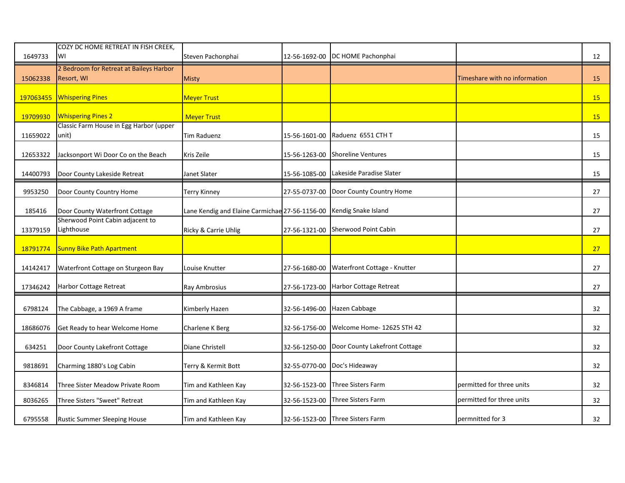| 1649733   | COZY DC HOME RETREAT IN FISH CREEK,<br>WI             | Steven Pachonphai                                                  |               | 12-56-1692-00 DC HOME Pachonphai            |                               | 12        |
|-----------|-------------------------------------------------------|--------------------------------------------------------------------|---------------|---------------------------------------------|-------------------------------|-----------|
| 15062338  | 2 Bedroom for Retreat at Baileys Harbor<br>Resort, WI | Misty                                                              |               |                                             | Timeshare with no information | 15        |
| 197063455 | <b>Whispering Pines</b>                               | <b>Meyer Trust</b>                                                 |               |                                             |                               | 15        |
| 19709930  | <b>Whispering Pines 2</b>                             | <b>Meyer Trust</b>                                                 |               |                                             |                               | <b>15</b> |
| 11659022  | Classic Farm House in Egg Harbor (upper<br>unit)      | <b>Tim Raduenz</b>                                                 | 15-56-1601-00 | Raduenz 6551 CTH T                          |                               | 15        |
| 12653322  | Jacksonport Wi Door Co on the Beach                   | Kris Zeile                                                         | 15-56-1263-00 | <b>Shoreline Ventures</b>                   |                               | 15        |
| 14400793  | Door County Lakeside Retreat                          | Janet Slater                                                       | 15-56-1085-00 | Lakeside Paradise Slater                    |                               | 15        |
| 9953250   | Door County Country Home                              | <b>Terry Kinney</b>                                                |               | 27-55-0737-00 Door County Country Home      |                               | 27        |
| 185416    | Door County Waterfront Cottage                        | Lane Kendig and Elaine Carmichae 27-56-1156-00 Kendig Snake Island |               |                                             |                               | 27        |
| 13379159  | Sherwood Point Cabin adjacent to<br>Lighthouse        | Ricky & Carrie Uhlig                                               |               | 27-56-1321-00 Sherwood Point Cabin          |                               | 27        |
| 18791774  | <b>Sunny Bike Path Apartment</b>                      |                                                                    |               |                                             |                               | 27        |
| 14142417  | Waterfront Cottage on Sturgeon Bay                    | Louise Knutter                                                     | 27-56-1680-00 | Waterfront Cottage - Knutter                |                               | 27        |
| 17346242  | Harbor Cottage Retreat                                | Ray Ambrosius                                                      |               | 27-56-1723-00 Harbor Cottage Retreat        |                               | 27        |
| 6798124   | The Cabbage, a 1969 A frame                           | Kimberly Hazen                                                     |               | 32-56-1496-00 Hazen Cabbage                 |                               | 32        |
| 18686076  | Get Ready to hear Welcome Home                        | Charlene K Berg                                                    | 32-56-1756-00 | Welcome Home-12625 STH 42                   |                               | 32        |
| 634251    | Door County Lakefront Cottage                         | Diane Christell                                                    |               | 32-56-1250-00 Door County Lakefront Cottage |                               | 32        |
| 9818691   | Charming 1880's Log Cabin                             | Terry & Kermit Bott                                                |               | 32-55-0770-00 Doc's Hideaway                |                               | 32        |
| 8346814   | Three Sister Meadow Private Room                      | Tim and Kathleen Kay                                               | 32-56-1523-00 | <b>Three Sisters Farm</b>                   | permitted for three units     | 32        |
| 8036265   | Three Sisters "Sweet" Retreat                         | Tim and Kathleen Kay                                               | 32-56-1523-00 | Three Sisters Farm                          | permitted for three units     | 32        |
| 6795558   | <b>Rustic Summer Sleeping House</b>                   | Tim and Kathleen Kay                                               |               | 32-56-1523-00 Three Sisters Farm            | permnitted for 3              | 32        |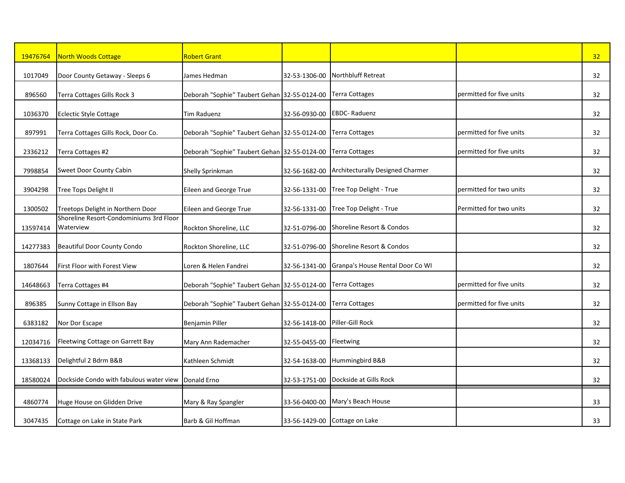| 19476764 | <b>North Woods Cottage</b>                           | <b>Robert Grant</b>                          |               |                                                |                          | 32 |
|----------|------------------------------------------------------|----------------------------------------------|---------------|------------------------------------------------|--------------------------|----|
| 1017049  | Door County Getaway - Sleeps 6                       | James Hedman                                 | 32-53-1306-00 | <b>Northbluff Retreat</b>                      |                          | 32 |
| 896560   | Terra Cottages Gills Rock 3                          | Deborah "Sophie" Taubert Gehan 32-55-0124-00 |               | <b>Terra Cottages</b>                          | permitted for five units | 32 |
| 1036370  | <b>Eclectic Style Cottage</b>                        | Tim Raduenz                                  | 32-56-0930-00 | <b>EBDC-Raduenz</b>                            |                          | 32 |
| 897991   | Terra Cottages Gills Rock, Door Co.                  | Deborah "Sophie" Taubert Gehan 32-55-0124-00 |               | <b>Terra Cottages</b>                          | permitted for five units | 32 |
| 2336212  | Terra Cottages #2                                    | Deborah "Sophie" Taubert Gehan 32-55-0124-00 |               | Terra Cottages                                 | permitted for five units | 32 |
| 7998854  | Sweet Door County Cabin                              | Shelly Sprinkman                             |               | 32-56-1682-00 Architecturally Designed Charmer |                          | 32 |
| 3904298  | Tree Tops Delight II                                 | Eileen and George True                       | 32-56-1331-00 | Tree Top Delight - True                        | permitted for two units  | 32 |
| 1300502  | Treetops Delight in Northern Door                    | Eileen and George True                       | 32-56-1331-00 | Tree Top Delight - True                        | Permitted for two units  | 32 |
| 13597414 | Shoreline Resort-Condominiums 3rd Floor<br>Waterview | Rockton Shoreline, LLC                       | 32-51-0796-00 | Shoreline Resort & Condos                      |                          | 32 |
| 14277383 | <b>Beautiful Door County Condo</b>                   | Rockton Shoreline, LLC                       | 32-51-0796-00 | Shoreline Resort & Condos                      |                          | 32 |
| 1807644  | First Floor with Forest View                         | Loren & Helen Fandrei                        | 32-56-1341-00 | Granpa's House Rental Door Co WI               |                          | 32 |
| 14648663 | Terra Cottages #4                                    | Deborah "Sophie" Taubert Gehan 32-55-0124-00 |               | <b>Terra Cottages</b>                          | permitted for five units | 32 |
| 896385   | Sunny Cottage in Ellson Bay                          | Deborah "Sophie" Taubert Gehan 32-55-0124-00 |               | <b>Terra Cottages</b>                          | permitted for five units | 32 |
| 6383182  | Nor Dor Escape                                       | Benjamin Piller                              | 32-56-1418-00 | Piller-Gill Rock                               |                          | 32 |
| 12034716 | Fleetwing Cottage on Garrett Bay                     | Mary Ann Rademacher                          | 32-55-0455-00 | Fleetwing                                      |                          | 32 |
| 13368133 | Delightful 2 Bdrm B&B                                | Kathleen Schmidt                             | 32-54-1638-00 | Hummingbird B&B                                |                          | 32 |
| 18580024 | Dockside Condo with fabulous water view              | Donald Erno                                  | 32-53-1751-00 | Dockside at Gills Rock                         |                          | 32 |
| 4860774  | Huge House on Glidden Drive                          | Mary & Ray Spangler                          | 33-56-0400-00 | Mary's Beach House                             |                          | 33 |
| 3047435  | Cottage on Lake in State Park                        | Barb & Gil Hoffman                           |               | 33-56-1429-00 Cottage on Lake                  |                          | 33 |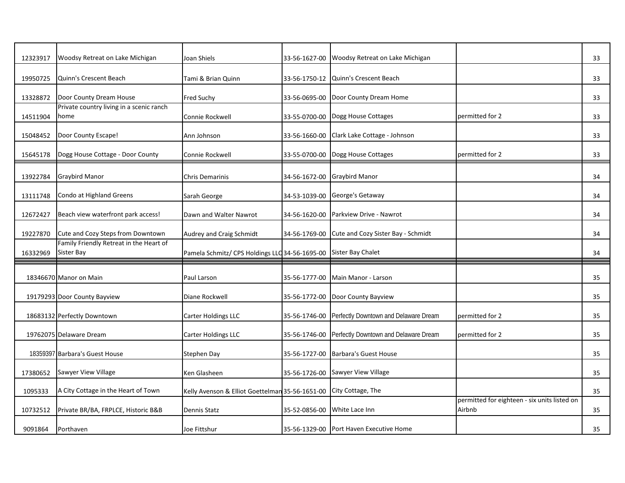| 12323917 | Woodsy Retreat on Lake Michigan                             | Joan Shiels                                                       | 33-56-1627-00 | Woodsy Retreat on Lake Michigan                     |                                                        | 33 |
|----------|-------------------------------------------------------------|-------------------------------------------------------------------|---------------|-----------------------------------------------------|--------------------------------------------------------|----|
| 19950725 | Quinn's Crescent Beach                                      | Tami & Brian Quinn                                                | 33-56-1750-12 | Quinn's Crescent Beach                              |                                                        | 33 |
| 13328872 | Door County Dream House                                     | Fred Suchy                                                        | 33-56-0695-00 | Door County Dream Home                              |                                                        | 33 |
| 14511904 | Private country living in a scenic ranch<br>home            | Connie Rockwell                                                   | 33-55-0700-00 | Dogg House Cottages                                 | permitted for 2                                        | 33 |
| 15048452 | Door County Escape!                                         | Ann Johnson                                                       | 33-56-1660-00 | Clark Lake Cottage - Johnson                        |                                                        | 33 |
| 15645178 | Dogg House Cottage - Door County                            | Connie Rockwell                                                   |               | 33-55-0700-00 Dogg House Cottages                   | permitted for 2                                        | 33 |
| 13922784 | <b>Graybird Manor</b>                                       | <b>Chris Demarinis</b>                                            |               | 34-56-1672-00 Graybird Manor                        |                                                        | 34 |
| 13111748 | Condo at Highland Greens                                    | Sarah George                                                      |               | 34-53-1039-00 George's Getaway                      |                                                        | 34 |
| 12672427 | Beach view waterfront park access!                          | Dawn and Walter Nawrot                                            | 34-56-1620-00 | Parkview Drive - Nawrot                             |                                                        | 34 |
| 19227870 | Cute and Cozy Steps from Downtown                           | Audrey and Craig Schmidt                                          | 34-56-1769-00 | Cute and Cozy Sister Bay - Schmidt                  |                                                        | 34 |
| 16332969 | Family Friendly Retreat in the Heart of<br>Sister Bay       | Pamela Schmitz/ CPS Holdings LLC 34-56-1695-00 Sister Bay Chalet  |               |                                                     |                                                        | 34 |
|          | 18346670 Manor on Main                                      | Paul Larson                                                       | 35-56-1777-00 | Main Manor - Larson                                 |                                                        | 35 |
|          |                                                             |                                                                   |               |                                                     |                                                        |    |
|          |                                                             | Diane Rockwell                                                    |               | 35-56-1772-00 Door County Bayview                   |                                                        | 35 |
|          | 19179293 Door County Bayview<br>18683132 Perfectly Downtown | Carter Holdings LLC                                               | 35-56-1746-00 | Perfectly Downtown and Delaware Dream               | permitted for 2                                        | 35 |
|          | 19762075 Delaware Dream                                     | Carter Holdings LLC                                               |               | 35-56-1746-00 Perfectly Downtown and Delaware Dream | permitted for 2                                        | 35 |
|          | 18359397 Barbara's Guest House                              | Stephen Day                                                       |               | 35-56-1727-00 Barbara's Guest House                 |                                                        | 35 |
| 17380652 | Sawyer View Village                                         | Ken Glasheen                                                      |               | 35-56-1726-00 Sawyer View Village                   |                                                        | 35 |
| 1095333  | A City Cottage in the Heart of Town                         | Kelly Avenson & Elliot Goettelman 35-56-1651-00 City Cottage, The |               |                                                     |                                                        | 35 |
| 10732512 | Private BR/BA, FRPLCE, Historic B&B                         | Dennis Statz                                                      | 35-52-0856-00 | White Lace Inn                                      | permitted for eighteen - six units listed on<br>Airbnb | 35 |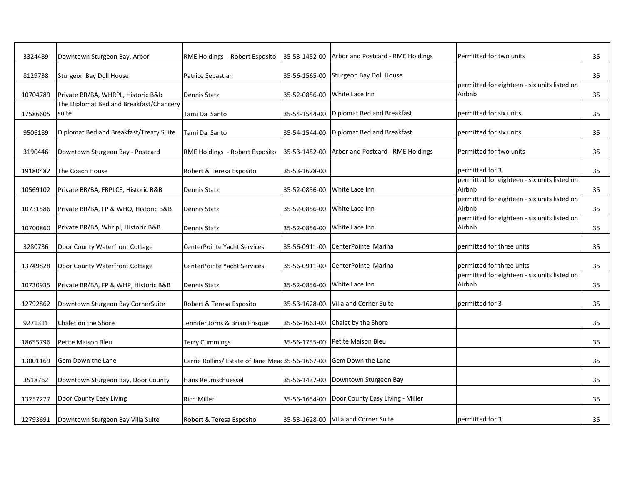| 3324489  | Downtown Sturgeon Bay, Arbor                     | RME Holdings - Robert Esposito                                      |                              | 35-53-1452-00 Arbor and Postcard - RME Holdings | Permitted for two units                                | 35 |
|----------|--------------------------------------------------|---------------------------------------------------------------------|------------------------------|-------------------------------------------------|--------------------------------------------------------|----|
| 8129738  | Sturgeon Bay Doll House                          | Patrice Sebastian                                                   |                              | 35-56-1565-00 Sturgeon Bay Doll House           |                                                        | 35 |
| 10704789 | Private BR/BA, WHRPL, Historic B&b               | Dennis Statz                                                        | 35-52-0856-00 White Lace Inn |                                                 | permitted for eighteen - six units listed on<br>Airbnb | 35 |
| 17586605 | The Diplomat Bed and Breakfast/Chancery<br>suite | Tami Dal Santo                                                      | 35-54-1544-00                | Diplomat Bed and Breakfast                      | permitted for six units                                | 35 |
| 9506189  | Diplomat Bed and Breakfast/Treaty Suite          | Tami Dal Santo                                                      |                              | 35-54-1544-00 Diplomat Bed and Breakfast        | permitted for six units                                | 35 |
| 3190446  | Downtown Sturgeon Bay - Postcard                 | RME Holdings - Robert Esposito                                      |                              | 35-53-1452-00 Arbor and Postcard - RME Holdings | Permitted for two units                                | 35 |
| 19180482 | The Coach House                                  | Robert & Teresa Esposito                                            | 35-53-1628-00                |                                                 | permitted for 3                                        | 35 |
| 10569102 | Private BR/BA, FRPLCE, Historic B&B              | Dennis Statz                                                        | 35-52-0856-00 White Lace Inn |                                                 | permitted for eighteen - six units listed on<br>Airbnb | 35 |
| 10731586 | Private BR/BA, FP & WHO, Historic B&B            | <b>Dennis Statz</b>                                                 | 35-52-0856-00 White Lace Inn |                                                 | permitted for eighteen - six units listed on<br>Airbnb | 35 |
| 10700860 | Private BR/BA, Whrlpl, Historic B&B              | Dennis Statz                                                        | 35-52-0856-00 White Lace Inn |                                                 | permitted for eighteen - six units listed on<br>Airbnb | 35 |
| 3280736  | Door County Waterfront Cottage                   | CenterPointe Yacht Services                                         | 35-56-0911-00                | CenterPointe Marina                             | permitted for three units                              | 35 |
| 13749828 | Door County Waterfront Cottage                   | <b>CenterPointe Yacht Services</b>                                  | 35-56-0911-00                | CenterPointe Marina                             | permitted for three units                              | 35 |
| 10730935 | Private BR/BA, FP & WHP, Historic B&B            | Dennis Statz                                                        | 35-52-0856-00                | White Lace Inn                                  | permitted for eighteen - six units listed on<br>Airbnb | 35 |
| 12792862 | Downtown Sturgeon Bay CornerSuite                | Robert & Teresa Esposito                                            |                              | 35-53-1628-00 Villa and Corner Suite            | permitted for 3                                        | 35 |
| 9271311  | Chalet on the Shore                              | Jennifer Jorns & Brian Frisque                                      | 35-56-1663-00                | Chalet by the Shore                             |                                                        | 35 |
| 18655796 | Petite Maison Bleu                               | <b>Terry Cummings</b>                                               | 35-56-1755-00                | Petite Maison Bleu                              |                                                        | 35 |
| 13001169 | Gem Down the Lane                                | Carrie Rollins/ Estate of Jane Mead 35-56-1667-00 Gem Down the Lane |                              |                                                 |                                                        | 35 |
| 3518762  | Downtown Sturgeon Bay, Door County               | Hans Reumschuessel                                                  |                              | 35-56-1437-00 Downtown Sturgeon Bay             |                                                        | 35 |
| 13257277 | Door County Easy Living                          | <b>Rich Miller</b>                                                  |                              | 35-56-1654-00 Door County Easy Living - Miller  |                                                        | 35 |
|          | 12793691 Downtown Sturgeon Bay Villa Suite       | Robert & Teresa Esposito                                            |                              | 35-53-1628-00 Villa and Corner Suite            | permitted for 3                                        | 35 |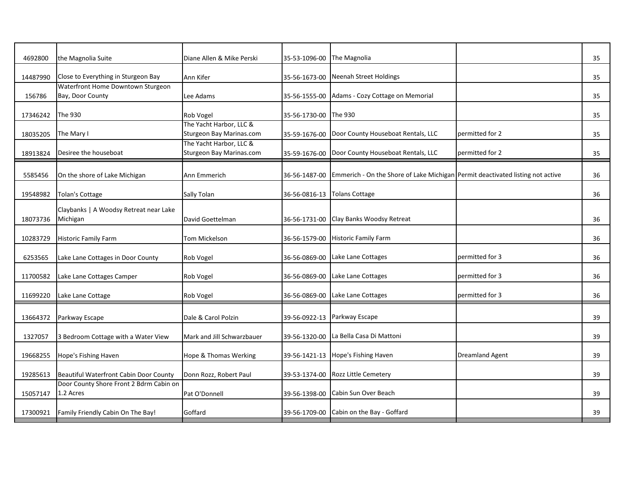| 4692800  | the Magnolia Suite                                    | Diane Allen & Mike Perski                           | 35-53-1096-00 | The Magnolia                                                                   |                        | 35 |
|----------|-------------------------------------------------------|-----------------------------------------------------|---------------|--------------------------------------------------------------------------------|------------------------|----|
| 14487990 | Close to Everything in Sturgeon Bay                   | Ann Kifer                                           | 35-56-1673-00 | Neenah Street Holdings                                                         |                        | 35 |
| 156786   | Waterfront Home Downtown Sturgeon<br>Bay, Door County | Lee Adams                                           | 35-56-1555-00 | Adams - Cozy Cottage on Memorial                                               |                        | 35 |
| 17346242 | The 930                                               | Rob Vogel                                           | 35-56-1730-00 | The 930                                                                        |                        | 35 |
| 18035205 | The Mary I                                            | The Yacht Harbor, LLC &<br>Sturgeon Bay Marinas.com | 35-59-1676-00 | Door County Houseboat Rentals, LLC                                             | permitted for 2        | 35 |
| 18913824 | Desiree the houseboat                                 | The Yacht Harbor, LLC &<br>Sturgeon Bay Marinas.com | 35-59-1676-00 | Door County Houseboat Rentals, LLC                                             | permitted for 2        | 35 |
| 5585456  | On the shore of Lake Michigan                         | Ann Emmerich                                        | 36-56-1487-00 | Emmerich - On the Shore of Lake Michigan Permit deactivated listing not active |                        | 36 |
| 19548982 | Tolan's Cottage                                       | Sally Tolan                                         | 36-56-0816-13 | <b>Tolans Cottage</b>                                                          |                        | 36 |
| 18073736 | Claybanks   A Woodsy Retreat near Lake<br>Michigan    | David Goettelman                                    | 36-56-1731-00 | Clay Banks Woodsy Retreat                                                      |                        | 36 |
| 10283729 | <b>Historic Family Farm</b>                           | <b>Tom Mickelson</b>                                | 36-56-1579-00 | <b>Historic Family Farm</b>                                                    |                        | 36 |
| 6253565  | Lake Lane Cottages in Door County                     | Rob Vogel                                           | 36-56-0869-00 | Lake Lane Cottages                                                             | permitted for 3        | 36 |
| 11700582 | Lake Lane Cottages Camper                             | Rob Vogel                                           | 36-56-0869-00 | Lake Lane Cottages                                                             | permitted for 3        | 36 |
| 11699220 | Lake Lane Cottage                                     | Rob Vogel                                           | 36-56-0869-00 | Lake Lane Cottages                                                             | permitted for 3        | 36 |
| 13664372 | Parkway Escape                                        | Dale & Carol Polzin                                 | 39-56-0922-13 | Parkway Escape                                                                 |                        | 39 |
| 1327057  | 3 Bedroom Cottage with a Water View                   | Mark and Jill Schwarzbauer                          | 39-56-1320-00 | La Bella Casa Di Mattoni                                                       |                        | 39 |
| 19668255 | Hope's Fishing Haven                                  | Hope & Thomas Werking                               | 39-56-1421-13 | Hope's Fishing Haven                                                           | <b>Dreamland Agent</b> | 39 |
| 19285613 | Beautiful Waterfront Cabin Door County                | Donn Rozz, Robert Paul                              | 39-53-1374-00 | <b>Rozz Little Cemetery</b>                                                    |                        | 39 |
| 15057147 | Door County Shore Front 2 Bdrm Cabin on<br>1.2 Acres  | Pat O'Donnell                                       | 39-56-1398-00 | Cabin Sun Over Beach                                                           |                        | 39 |
| 17300921 | Family Friendly Cabin On The Bay!                     | Goffard                                             | 39-56-1709-00 | Cabin on the Bay - Goffard                                                     |                        | 39 |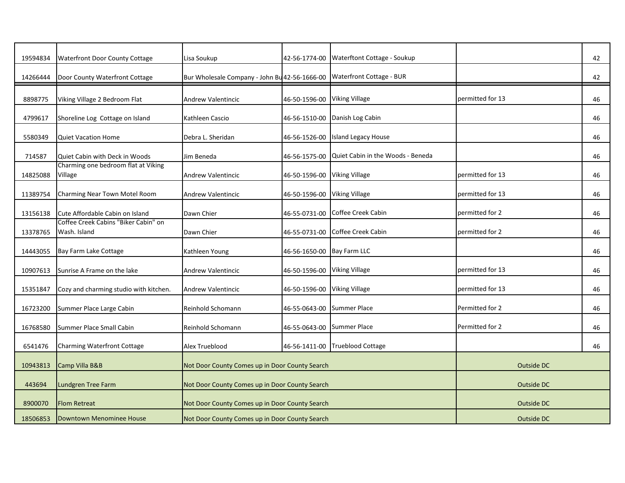| 19594834 | Waterfront Door County Cottage                       | Lisa Soukup                                                            | 42-56-1774-00                | Waterftont Cottage - Soukup       |                   | 42 |
|----------|------------------------------------------------------|------------------------------------------------------------------------|------------------------------|-----------------------------------|-------------------|----|
| 14266444 | Door County Waterfront Cottage                       | Bur Wholesale Company - John Bu 42-56-1666-00 Waterfront Cottage - BUR |                              |                                   |                   | 42 |
| 8898775  | Viking Village 2 Bedroom Flat                        | <b>Andrew Valentincic</b>                                              | 46-50-1596-00 Viking Village |                                   | permitted for 13  | 46 |
| 4799617  | Shoreline Log Cottage on Island                      | Kathleen Cascio                                                        |                              | 46-56-1510-00 Danish Log Cabin    |                   | 46 |
| 5580349  | <b>Quiet Vacation Home</b>                           | Debra L. Sheridan                                                      | 46-56-1526-00                | Island Legacy House               |                   | 46 |
| 714587   | Quiet Cabin with Deck in Woods                       | Jim Beneda                                                             | 46-56-1575-00                | Quiet Cabin in the Woods - Beneda |                   | 46 |
| 14825088 | Charming one bedroom flat at Viking<br>Village       | <b>Andrew Valentincic</b>                                              | 46-50-1596-00                | <b>Viking Village</b>             | permitted for 13  | 46 |
| 11389754 | Charming Near Town Motel Room                        | <b>Andrew Valentincic</b>                                              | 46-50-1596-00 Viking Village |                                   | permitted for 13  | 46 |
| 13156138 | Cute Affordable Cabin on Island                      | Dawn Chier                                                             | 46-55-0731-00                | Coffee Creek Cabin                | permitted for 2   | 46 |
| 13378765 | Coffee Creek Cabins "Biker Cabin" on<br>Wash. Island | Dawn Chier                                                             | 46-55-0731-00                | Coffee Creek Cabin                | permitted for 2   | 46 |
| 14443055 | Bay Farm Lake Cottage                                | Kathleen Young                                                         | 46-56-1650-00 Bay Farm LLC   |                                   |                   | 46 |
| 10907613 | Sunrise A Frame on the lake                          | <b>Andrew Valentincic</b>                                              | 46-50-1596-00                | <b>Viking Village</b>             | permitted for 13  | 46 |
| 15351847 | Cozy and charming studio with kitchen.               | <b>Andrew Valentincic</b>                                              | 46-50-1596-00                | <b>Viking Village</b>             | permitted for 13  | 46 |
| 16723200 | Summer Place Large Cabin                             | Reinhold Schomann                                                      | 46-55-0643-00                | <b>Summer Place</b>               | Permitted for 2   | 46 |
| 16768580 | Summer Place Small Cabin                             | Reinhold Schomann                                                      | 46-55-0643-00                | <b>Summer Place</b>               | Permitted for 2   | 46 |
| 6541476  | <b>Charming Waterfront Cottage</b>                   | Alex Trueblood                                                         |                              | 46-56-1411-00 Trueblood Cottage   |                   | 46 |
| 10943813 | Camp Villa B&B                                       | Not Door County Comes up in Door County Search                         |                              |                                   | Outside DC        |    |
| 443694   | Lundgren Tree Farm                                   | Not Door County Comes up in Door County Search                         |                              |                                   | Outside DC        |    |
| 8900070  | <b>Flom Retreat</b>                                  | Not Door County Comes up in Door County Search                         |                              |                                   | <b>Outside DC</b> |    |
| 18506853 | Downtown Menominee House                             | Not Door County Comes up in Door County Search                         |                              |                                   | Outside DC        |    |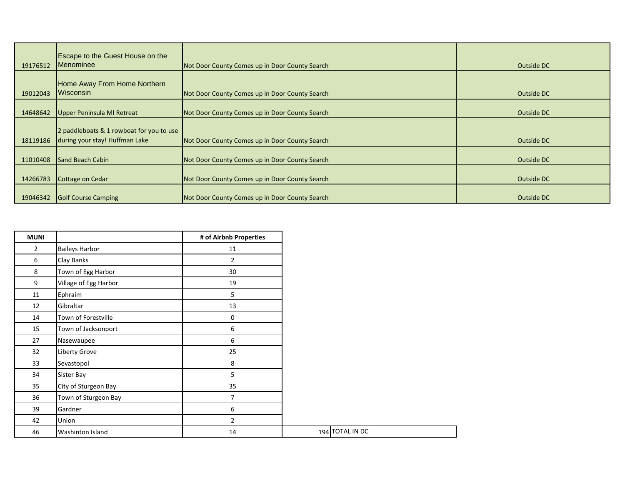| 19176512 | <b>Escape to the Guest House on the</b><br>Menominee                       | Not Door County Comes up in Door County Search | Outside DC |
|----------|----------------------------------------------------------------------------|------------------------------------------------|------------|
| 19012043 | Home Away From Home Northern<br>Wisconsin                                  | Not Door County Comes up in Door County Search | Outside DC |
| 14648642 | Upper Peninsula MI Retreat                                                 | Not Door County Comes up in Door County Search | Outside DC |
| 18119186 | 2 paddleboats & 1 rowboat for you to use<br>during your stay! Huffman Lake | Not Door County Comes up in Door County Search | Outside DC |
| 11010408 | <b>Sand Beach Cabin</b>                                                    | Not Door County Comes up in Door County Search | Outside DC |
| 14266783 | Cottage on Cedar                                                           | Not Door County Comes up in Door County Search | Outside DC |
| 19046342 | <b>Golf Course Camping</b>                                                 | Not Door County Comes up in Door County Search | Outside DC |

| <b>MUNI</b>    |                         | # of Airbnb Properties |  |
|----------------|-------------------------|------------------------|--|
| $\overline{2}$ | <b>Baileys Harbor</b>   | 11                     |  |
| 6              | Clay Banks              | $\overline{2}$         |  |
| 8              | Town of Egg Harbor      | 30                     |  |
| 9              | Village of Egg Harbor   | 19                     |  |
| 11             | Ephraim                 | 5                      |  |
| 12             | Gibraltar               | 13                     |  |
| 14             | Town of Forestville     | 0                      |  |
| 15             | Town of Jacksonport     | 6                      |  |
| 27             | Nasewaupee              | 6                      |  |
| 32             | Liberty Grove           | 25                     |  |
| 33             | Sevastopol              | 8                      |  |
| 34             | Sister Bay              | 5                      |  |
| 35             | City of Sturgeon Bay    | 35                     |  |
| 36             | Town of Sturgeon Bay    | 7                      |  |
| 39             | Gardner                 | 6                      |  |
| 42             | Union                   | $\overline{2}$         |  |
| 46             | <b>Washinton Island</b> | 14                     |  |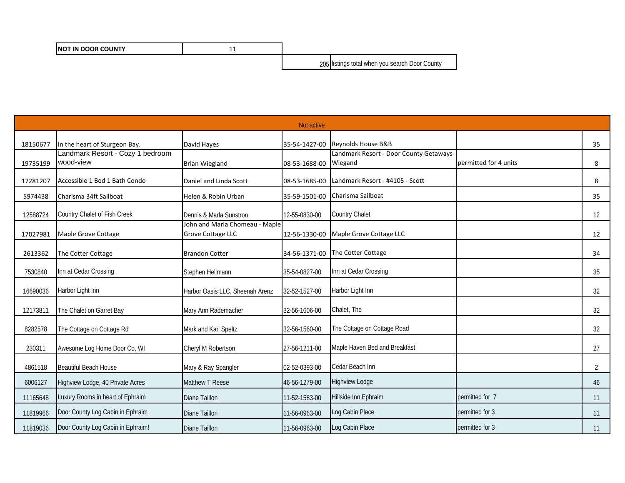| <b>INOT IN DOOR COUNTY</b> | -- |                                                |
|----------------------------|----|------------------------------------------------|
|                            |    | 205 listings total when you search Door County |

|          | Not active                                    |                                                            |               |                                                    |                       |    |  |
|----------|-----------------------------------------------|------------------------------------------------------------|---------------|----------------------------------------------------|-----------------------|----|--|
| 18150677 | In the heart of Sturgeon Bay.                 | David Hayes                                                |               | 35-54-1427-00 Reynolds House B&B                   |                       | 35 |  |
| 19735199 | Landmark Resort - Cozy 1 bedroom<br>wood-view | <b>Brian Wiegland</b>                                      | 08-53-1688-00 | Landmark Resort - Door County Getaways-<br>Wiegand | permitted for 4 units | 8  |  |
| 17281207 | Accessible 1 Bed 1 Bath Condo                 | Daniel and Linda Scott                                     |               | 08-53-1685-00 Landmark Resort - #4105 - Scott      |                       | 8  |  |
| 5974438  | Charisma 34ft Sailboat                        | Helen & Robin Urban                                        | 35-59-1501-00 | Charisma Sailboat                                  |                       | 35 |  |
| 12588724 | Country Chalet of Fish Creek                  | Dennis & Marla Sunstron                                    | 12-55-0830-00 | <b>Country Chalet</b>                              |                       | 12 |  |
| 17027981 | Maple Grove Cottage                           | John and Maria Chomeau - Maple<br><b>Grove Cottage LLC</b> | 12-56-1330-00 | Maple Grove Cottage LLC                            |                       | 12 |  |
| 2613362  | The Cotter Cottage                            | <b>Brandon Cotter</b>                                      | 34-56-1371-00 | The Cotter Cottage                                 |                       | 34 |  |
| 7530840  | Inn at Cedar Crossing                         | Stephen Hellmann                                           | 35-54-0827-00 | Inn at Cedar Crossing                              |                       | 35 |  |
| 16690036 | Harbor Light Inn                              | Harbor Oasis LLC, Sheenah Arenz                            | 32-52-1527-00 | Harbor Light Inn                                   |                       | 32 |  |
| 12173811 | The Chalet on Garret Bay                      | Mary Ann Rademacher                                        | 32-56-1606-00 | Chalet, The                                        |                       | 32 |  |
| 8282578  | The Cottage on Cottage Rd                     | Mark and Kari Speltz                                       | 32-56-1560-00 | The Cottage on Cottage Road                        |                       | 32 |  |
| 230311   | Awesome Log Home Door Co, WI                  | Cheryl M Robertson                                         | 27-56-1211-00 | Maple Haven Bed and Breakfast                      |                       | 27 |  |
| 4861518  | <b>Beautiful Beach House</b>                  | Mary & Ray Spangler                                        | 02-52-0393-00 | Cedar Beach Inn                                    |                       | 2  |  |
| 6006127  | Highview Lodge, 40 Private Acres              | Matthew T Reese                                            | 46-56-1279-00 | <b>Highview Lodge</b>                              |                       | 46 |  |
| 11165648 | Luxury Rooms in heart of Ephraim              | <b>Diane Taillon</b>                                       | 11-52-1583-00 | Hillside Inn Ephraim                               | permitted for 7       | 11 |  |
| 11819966 | Door County Log Cabin in Ephraim              | <b>Diane Taillon</b>                                       | 11-56-0963-00 | Log Cabin Place                                    | permitted for 3       | 11 |  |
| 11819036 | Door County Log Cabin in Ephraim!             | <b>Diane Taillon</b>                                       | 11-56-0963-00 | Log Cabin Place                                    | permitted for 3       | 11 |  |